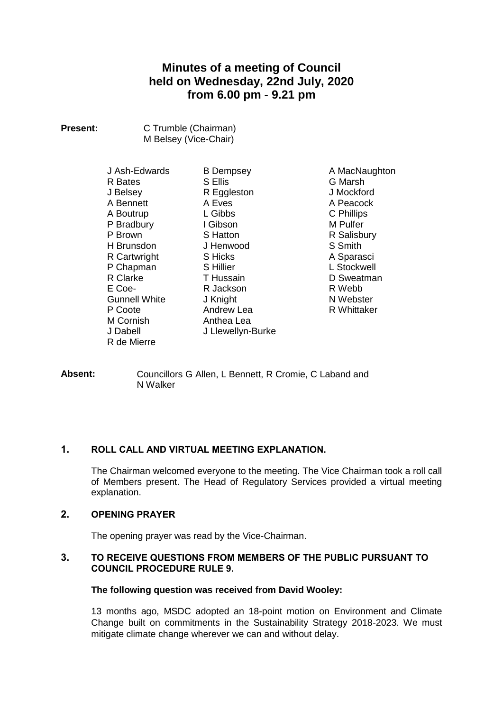# **Minutes of a meeting of Council held on Wednesday, 22nd July, 2020 from 6.00 pm - 9.21 pm**

| <b>Present:</b> | C Trumble (Chairman)  |
|-----------------|-----------------------|
|                 | M Belsey (Vice-Chair) |

J Ash-Edwards R Bates J Belsey A Bennett A Boutrup P Bradbury P Brown H Brunsdon R Cartwright P Chapman R Clarke E Coe-Gunnell White P Coote M Cornish J Dabell R de Mierre

B Dempsey S Ellis R Eggleston A Eves L Gibbs I Gibson S Hatton J Henwood S Hicks S Hillier T Hussain R Jackson J Knight Andrew Lea Anthea Lea J Llewellyn-Burke

A MacNaughton G Marsh J Mockford A Peacock C Phillips M Pulfer R Salisbury S Smith A Sparasci L Stockwell D Sweatman R Webb N Webster R Whittaker

**Absent:** Councillors G Allen, L Bennett, R Cromie, C Laband and N Walker

## **1. ROLL CALL AND VIRTUAL MEETING EXPLANATION.**

The Chairman welcomed everyone to the meeting. The Vice Chairman took a roll call of Members present. The Head of Regulatory Services provided a virtual meeting explanation.

## **2. OPENING PRAYER**

The opening prayer was read by the Vice-Chairman.

## **3. TO RECEIVE QUESTIONS FROM MEMBERS OF THE PUBLIC PURSUANT TO COUNCIL PROCEDURE RULE 9.**

## **The following question was received from David Wooley:**

13 months ago, MSDC adopted an 18-point motion on Environment and Climate Change built on commitments in the Sustainability Strategy 2018-2023. We must mitigate climate change wherever we can and without delay.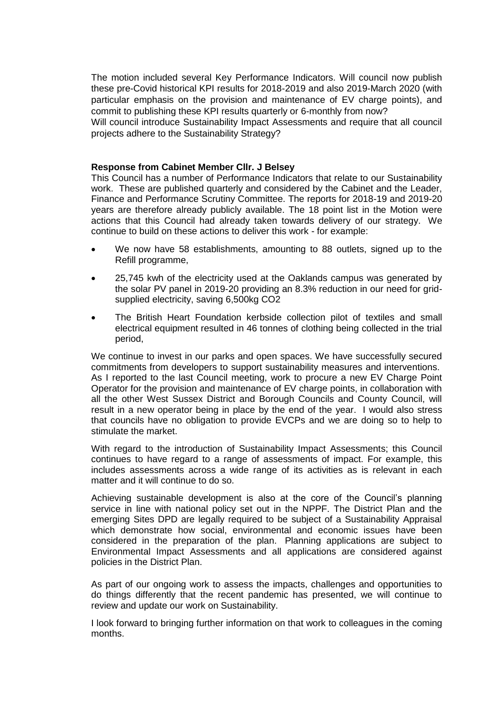The motion included several Key Performance Indicators. Will council now publish these pre-Covid historical KPI results for 2018-2019 and also 2019-March 2020 (with particular emphasis on the provision and maintenance of EV charge points), and commit to publishing these KPI results quarterly or 6-monthly from now?

Will council introduce Sustainability Impact Assessments and require that all council projects adhere to the Sustainability Strategy?

#### **Response from Cabinet Member Cllr. J Belsey**

This Council has a number of Performance Indicators that relate to our Sustainability work. These are published quarterly and considered by the Cabinet and the Leader, Finance and Performance Scrutiny Committee. The reports for 2018-19 and 2019-20 years are therefore already publicly available. The 18 point list in the Motion were actions that this Council had already taken towards delivery of our strategy. We continue to build on these actions to deliver this work - for example:

- We now have 58 establishments, amounting to 88 outlets, signed up to the Refill programme,
- 25,745 kwh of the electricity used at the Oaklands campus was generated by the solar PV panel in 2019-20 providing an 8.3% reduction in our need for gridsupplied electricity, saving 6,500kg CO2
- The British Heart Foundation kerbside collection pilot of textiles and small electrical equipment resulted in 46 tonnes of clothing being collected in the trial period,

We continue to invest in our parks and open spaces. We have successfully secured commitments from developers to support sustainability measures and interventions. As I reported to the last Council meeting, work to procure a new EV Charge Point Operator for the provision and maintenance of EV charge points, in collaboration with all the other West Sussex District and Borough Councils and County Council, will result in a new operator being in place by the end of the year. I would also stress that councils have no obligation to provide EVCPs and we are doing so to help to stimulate the market.

With regard to the introduction of Sustainability Impact Assessments: this Council continues to have regard to a range of assessments of impact. For example, this includes assessments across a wide range of its activities as is relevant in each matter and it will continue to do so.

Achieving sustainable development is also at the core of the Council's planning service in line with national policy set out in the NPPF. The District Plan and the emerging Sites DPD are legally required to be subject of a Sustainability Appraisal which demonstrate how social, environmental and economic issues have been considered in the preparation of the plan. Planning applications are subject to Environmental Impact Assessments and all applications are considered against policies in the District Plan.

As part of our ongoing work to assess the impacts, challenges and opportunities to do things differently that the recent pandemic has presented, we will continue to review and update our work on Sustainability.

I look forward to bringing further information on that work to colleagues in the coming months.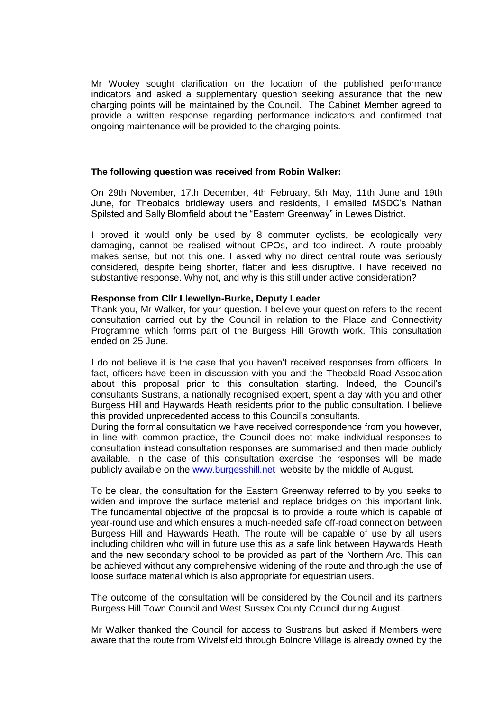Mr Wooley sought clarification on the location of the published performance indicators and asked a supplementary question seeking assurance that the new charging points will be maintained by the Council. The Cabinet Member agreed to provide a written response regarding performance indicators and confirmed that ongoing maintenance will be provided to the charging points.

#### **The following question was received from Robin Walker:**

On 29th November, 17th December, 4th February, 5th May, 11th June and 19th June, for Theobalds bridleway users and residents, I emailed MSDC's Nathan Spilsted and Sally Blomfield about the "Eastern Greenway" in Lewes District.

I proved it would only be used by 8 commuter cyclists, be ecologically very damaging, cannot be realised without CPOs, and too indirect. A route probably makes sense, but not this one. I asked why no direct central route was seriously considered, despite being shorter, flatter and less disruptive. I have received no substantive response. Why not, and why is this still under active consideration?

#### **Response from Cllr Llewellyn-Burke, Deputy Leader**

Thank you, Mr Walker, for your question. I believe your question refers to the recent consultation carried out by the Council in relation to the Place and Connectivity Programme which forms part of the Burgess Hill Growth work. This consultation ended on 25 June.

I do not believe it is the case that you haven't received responses from officers. In fact, officers have been in discussion with you and the Theobald Road Association about this proposal prior to this consultation starting. Indeed, the Council's consultants Sustrans, a nationally recognised expert, spent a day with you and other Burgess Hill and Haywards Heath residents prior to the public consultation. I believe this provided unprecedented access to this Council's consultants.

During the formal consultation we have received correspondence from you however, in line with common practice, the Council does not make individual responses to consultation instead consultation responses are summarised and then made publicly available. In the case of this consultation exercise the responses will be made publicly available on the [www.burgesshill.net](http://www.burgesshill.net/) website by the middle of August.

To be clear, the consultation for the Eastern Greenway referred to by you seeks to widen and improve the surface material and replace bridges on this important link. The fundamental objective of the proposal is to provide a route which is capable of year-round use and which ensures a much-needed safe off-road connection between Burgess Hill and Haywards Heath. The route will be capable of use by all users including children who will in future use this as a safe link between Haywards Heath and the new secondary school to be provided as part of the Northern Arc. This can be achieved without any comprehensive widening of the route and through the use of loose surface material which is also appropriate for equestrian users.

The outcome of the consultation will be considered by the Council and its partners Burgess Hill Town Council and West Sussex County Council during August.

Mr Walker thanked the Council for access to Sustrans but asked if Members were aware that the route from Wivelsfield through Bolnore Village is already owned by the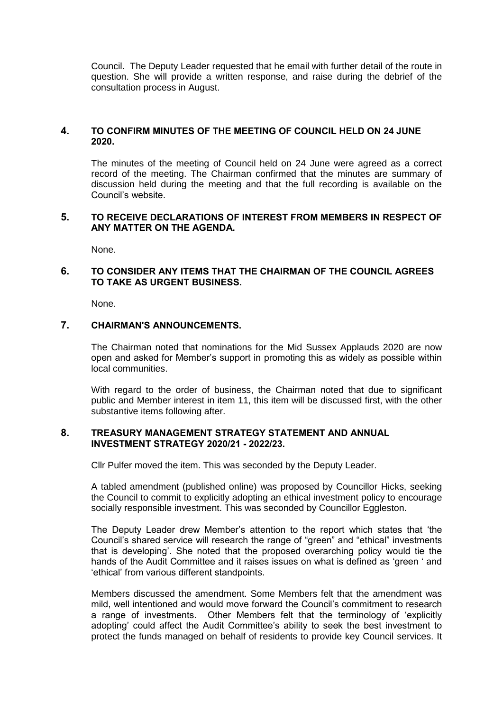Council. The Deputy Leader requested that he email with further detail of the route in question. She will provide a written response, and raise during the debrief of the consultation process in August.

## **4. TO CONFIRM MINUTES OF THE MEETING OF COUNCIL HELD ON 24 JUNE 2020.**

The minutes of the meeting of Council held on 24 June were agreed as a correct record of the meeting. The Chairman confirmed that the minutes are summary of discussion held during the meeting and that the full recording is available on the Council's website.

#### **5. TO RECEIVE DECLARATIONS OF INTEREST FROM MEMBERS IN RESPECT OF ANY MATTER ON THE AGENDA.**

None.

## **6. TO CONSIDER ANY ITEMS THAT THE CHAIRMAN OF THE COUNCIL AGREES TO TAKE AS URGENT BUSINESS.**

None.

## **7. CHAIRMAN'S ANNOUNCEMENTS.**

The Chairman noted that nominations for the Mid Sussex Applauds 2020 are now open and asked for Member's support in promoting this as widely as possible within local communities.

With regard to the order of business, the Chairman noted that due to significant public and Member interest in item 11, this item will be discussed first, with the other substantive items following after.

#### **8. TREASURY MANAGEMENT STRATEGY STATEMENT AND ANNUAL INVESTMENT STRATEGY 2020/21 - 2022/23.**

Cllr Pulfer moved the item. This was seconded by the Deputy Leader.

A tabled amendment (published online) was proposed by Councillor Hicks, seeking the Council to commit to explicitly adopting an ethical investment policy to encourage socially responsible investment. This was seconded by Councillor Eggleston.

The Deputy Leader drew Member's attention to the report which states that 'the Council's shared service will research the range of "green" and "ethical" investments that is developing'. She noted that the proposed overarching policy would tie the hands of the Audit Committee and it raises issues on what is defined as 'green ' and 'ethical' from various different standpoints.

Members discussed the amendment. Some Members felt that the amendment was mild, well intentioned and would move forward the Council's commitment to research a range of investments. Other Members felt that the terminology of 'explicitly adopting' could affect the Audit Committee's ability to seek the best investment to protect the funds managed on behalf of residents to provide key Council services. It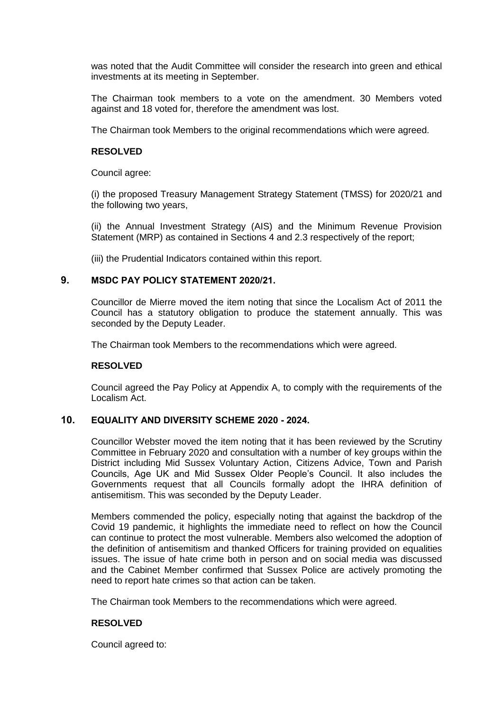was noted that the Audit Committee will consider the research into green and ethical investments at its meeting in September.

The Chairman took members to a vote on the amendment. 30 Members voted against and 18 voted for, therefore the amendment was lost.

The Chairman took Members to the original recommendations which were agreed.

#### **RESOLVED**

Council agree:

(i) the proposed Treasury Management Strategy Statement (TMSS) for 2020/21 and the following two years,

(ii) the Annual Investment Strategy (AIS) and the Minimum Revenue Provision Statement (MRP) as contained in Sections 4 and 2.3 respectively of the report;

(iii) the Prudential Indicators contained within this report.

#### **9. MSDC PAY POLICY STATEMENT 2020/21.**

Councillor de Mierre moved the item noting that since the Localism Act of 2011 the Council has a statutory obligation to produce the statement annually. This was seconded by the Deputy Leader.

The Chairman took Members to the recommendations which were agreed.

#### **RESOLVED**

Council agreed the Pay Policy at Appendix A, to comply with the requirements of the Localism Act.

#### **10. EQUALITY AND DIVERSITY SCHEME 2020 - 2024.**

Councillor Webster moved the item noting that it has been reviewed by the Scrutiny Committee in February 2020 and consultation with a number of key groups within the District including Mid Sussex Voluntary Action, Citizens Advice, Town and Parish Councils, Age UK and Mid Sussex Older People's Council. It also includes the Governments request that all Councils formally adopt the IHRA definition of antisemitism. This was seconded by the Deputy Leader.

Members commended the policy, especially noting that against the backdrop of the Covid 19 pandemic, it highlights the immediate need to reflect on how the Council can continue to protect the most vulnerable. Members also welcomed the adoption of the definition of antisemitism and thanked Officers for training provided on equalities issues. The issue of hate crime both in person and on social media was discussed and the Cabinet Member confirmed that Sussex Police are actively promoting the need to report hate crimes so that action can be taken.

The Chairman took Members to the recommendations which were agreed.

## **RESOLVED**

Council agreed to: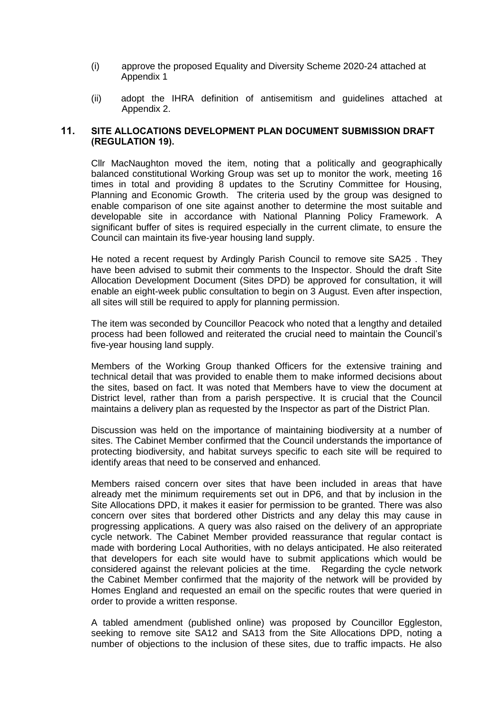- (i) approve the proposed Equality and Diversity Scheme 2020-24 attached at Appendix 1
- (ii) adopt the IHRA definition of antisemitism and guidelines attached at Appendix 2.

## **11. SITE ALLOCATIONS DEVELOPMENT PLAN DOCUMENT SUBMISSION DRAFT (REGULATION 19).**

Cllr MacNaughton moved the item, noting that a politically and geographically balanced constitutional Working Group was set up to monitor the work, meeting 16 times in total and providing  $\overline{8}$  updates to the Scrutiny Committee for Housing, Planning and Economic Growth. The criteria used by the group was designed to enable comparison of one site against another to determine the most suitable and developable site in accordance with National Planning Policy Framework. A significant buffer of sites is required especially in the current climate, to ensure the Council can maintain its five-year housing land supply.

He noted a recent request by Ardingly Parish Council to remove site SA25 . They have been advised to submit their comments to the Inspector. Should the draft Site Allocation Development Document (Sites DPD) be approved for consultation, it will enable an eight-week public consultation to begin on 3 August. Even after inspection, all sites will still be required to apply for planning permission.

The item was seconded by Councillor Peacock who noted that a lengthy and detailed process had been followed and reiterated the crucial need to maintain the Council's five-year housing land supply.

Members of the Working Group thanked Officers for the extensive training and technical detail that was provided to enable them to make informed decisions about the sites, based on fact. It was noted that Members have to view the document at District level, rather than from a parish perspective. It is crucial that the Council maintains a delivery plan as requested by the Inspector as part of the District Plan.

Discussion was held on the importance of maintaining biodiversity at a number of sites. The Cabinet Member confirmed that the Council understands the importance of protecting biodiversity, and habitat surveys specific to each site will be required to identify areas that need to be conserved and enhanced.

Members raised concern over sites that have been included in areas that have already met the minimum requirements set out in DP6, and that by inclusion in the Site Allocations DPD, it makes it easier for permission to be granted. There was also concern over sites that bordered other Districts and any delay this may cause in progressing applications. A query was also raised on the delivery of an appropriate cycle network. The Cabinet Member provided reassurance that regular contact is made with bordering Local Authorities, with no delays anticipated. He also reiterated that developers for each site would have to submit applications which would be considered against the relevant policies at the time. Regarding the cycle network the Cabinet Member confirmed that the majority of the network will be provided by Homes England and requested an email on the specific routes that were queried in order to provide a written response.

A tabled amendment (published online) was proposed by Councillor Eggleston, seeking to remove site SA12 and SA13 from the Site Allocations DPD, noting a number of objections to the inclusion of these sites, due to traffic impacts. He also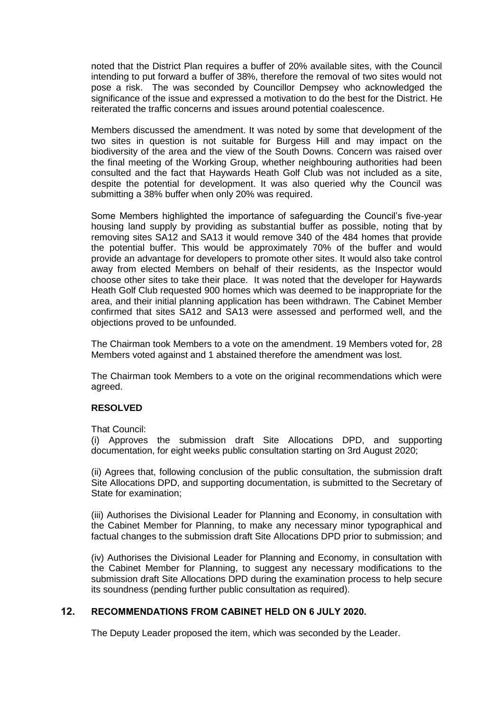noted that the District Plan requires a buffer of 20% available sites, with the Council intending to put forward a buffer of 38%, therefore the removal of two sites would not pose a risk. The was seconded by Councillor Dempsey who acknowledged the significance of the issue and expressed a motivation to do the best for the District. He reiterated the traffic concerns and issues around potential coalescence.

Members discussed the amendment. It was noted by some that development of the two sites in question is not suitable for Burgess Hill and may impact on the biodiversity of the area and the view of the South Downs. Concern was raised over the final meeting of the Working Group, whether neighbouring authorities had been consulted and the fact that Haywards Heath Golf Club was not included as a site, despite the potential for development. It was also queried why the Council was submitting a 38% buffer when only 20% was required.

Some Members highlighted the importance of safeguarding the Council's five-year housing land supply by providing as substantial buffer as possible, noting that by removing sites SA12 and SA13 it would remove 340 of the 484 homes that provide the potential buffer. This would be approximately 70% of the buffer and would provide an advantage for developers to promote other sites. It would also take control away from elected Members on behalf of their residents, as the Inspector would choose other sites to take their place. It was noted that the developer for Haywards Heath Golf Club requested 900 homes which was deemed to be inappropriate for the area, and their initial planning application has been withdrawn. The Cabinet Member confirmed that sites SA12 and SA13 were assessed and performed well, and the objections proved to be unfounded.

The Chairman took Members to a vote on the amendment. 19 Members voted for, 28 Members voted against and 1 abstained therefore the amendment was lost.

The Chairman took Members to a vote on the original recommendations which were agreed.

#### **RESOLVED**

That Council:

(i) Approves the submission draft Site Allocations DPD, and supporting documentation, for eight weeks public consultation starting on 3rd August 2020;

(ii) Agrees that, following conclusion of the public consultation, the submission draft Site Allocations DPD, and supporting documentation, is submitted to the Secretary of State for examination;

(iii) Authorises the Divisional Leader for Planning and Economy, in consultation with the Cabinet Member for Planning, to make any necessary minor typographical and factual changes to the submission draft Site Allocations DPD prior to submission; and

(iv) Authorises the Divisional Leader for Planning and Economy, in consultation with the Cabinet Member for Planning, to suggest any necessary modifications to the submission draft Site Allocations DPD during the examination process to help secure its soundness (pending further public consultation as required).

#### **12. RECOMMENDATIONS FROM CABINET HELD ON 6 JULY 2020.**

The Deputy Leader proposed the item, which was seconded by the Leader.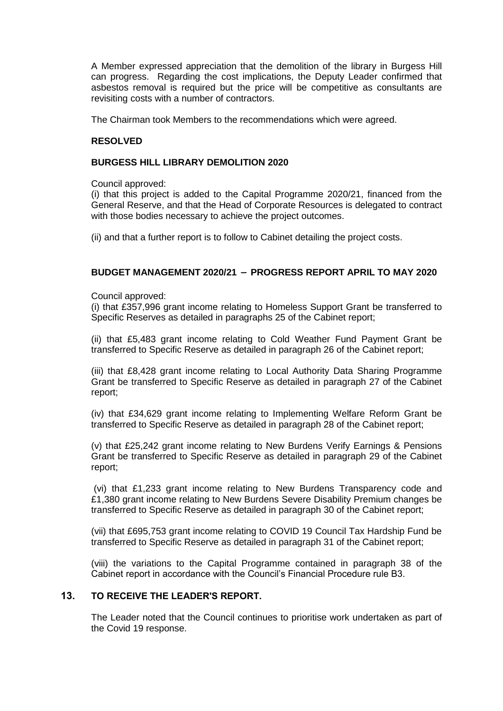A Member expressed appreciation that the demolition of the library in Burgess Hill can progress. Regarding the cost implications, the Deputy Leader confirmed that asbestos removal is required but the price will be competitive as consultants are revisiting costs with a number of contractors.

The Chairman took Members to the recommendations which were agreed.

## **RESOLVED**

## **BURGESS HILL LIBRARY DEMOLITION 2020**

Council approved:

(i) that this project is added to the Capital Programme 2020/21, financed from the General Reserve, and that the Head of Corporate Resources is delegated to contract with those bodies necessary to achieve the project outcomes.

(ii) and that a further report is to follow to Cabinet detailing the project costs.

## **BUDGET MANAGEMENT 2020/21 – PROGRESS REPORT APRIL TO MAY 2020**

#### Council approved:

(i) that £357,996 grant income relating to Homeless Support Grant be transferred to Specific Reserves as detailed in paragraphs 25 of the Cabinet report;

(ii) that £5,483 grant income relating to Cold Weather Fund Payment Grant be transferred to Specific Reserve as detailed in paragraph 26 of the Cabinet report;

(iii) that £8,428 grant income relating to Local Authority Data Sharing Programme Grant be transferred to Specific Reserve as detailed in paragraph 27 of the Cabinet report;

(iv) that £34,629 grant income relating to Implementing Welfare Reform Grant be transferred to Specific Reserve as detailed in paragraph 28 of the Cabinet report;

(v) that £25,242 grant income relating to New Burdens Verify Earnings & Pensions Grant be transferred to Specific Reserve as detailed in paragraph 29 of the Cabinet report;

(vi) that £1,233 grant income relating to New Burdens Transparency code and £1,380 grant income relating to New Burdens Severe Disability Premium changes be transferred to Specific Reserve as detailed in paragraph 30 of the Cabinet report;

(vii) that £695,753 grant income relating to COVID 19 Council Tax Hardship Fund be transferred to Specific Reserve as detailed in paragraph 31 of the Cabinet report;

(viii) the variations to the Capital Programme contained in paragraph 38 of the Cabinet report in accordance with the Council's Financial Procedure rule B3.

## **13. TO RECEIVE THE LEADER'S REPORT.**

The Leader noted that the Council continues to prioritise work undertaken as part of the Covid 19 response.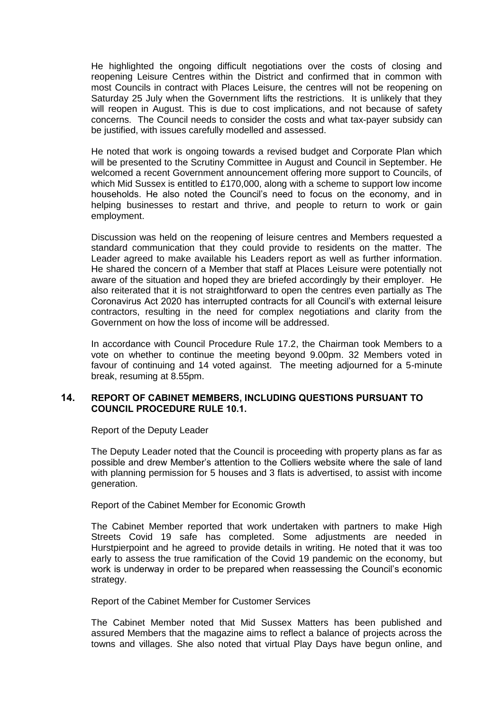He highlighted the ongoing difficult negotiations over the costs of closing and reopening Leisure Centres within the District and confirmed that in common with most Councils in contract with Places Leisure, the centres will not be reopening on Saturday 25 July when the Government lifts the restrictions. It is unlikely that they will reopen in August. This is due to cost implications, and not because of safety concerns. The Council needs to consider the costs and what tax-payer subsidy can be justified, with issues carefully modelled and assessed.

He noted that work is ongoing towards a revised budget and Corporate Plan which will be presented to the Scrutiny Committee in August and Council in September. He welcomed a recent Government announcement offering more support to Councils, of which Mid Sussex is entitled to £170,000, along with a scheme to support low income households. He also noted the Council's need to focus on the economy, and in helping businesses to restart and thrive, and people to return to work or gain employment.

Discussion was held on the reopening of leisure centres and Members requested a standard communication that they could provide to residents on the matter. The Leader agreed to make available his Leaders report as well as further information. He shared the concern of a Member that staff at Places Leisure were potentially not aware of the situation and hoped they are briefed accordingly by their employer. He also reiterated that it is not straightforward to open the centres even partially as The Coronavirus Act 2020 has interrupted contracts for all Council's with external leisure contractors, resulting in the need for complex negotiations and clarity from the Government on how the loss of income will be addressed.

In accordance with Council Procedure Rule 17.2, the Chairman took Members to a vote on whether to continue the meeting beyond 9.00pm. 32 Members voted in favour of continuing and 14 voted against. The meeting adjourned for a 5-minute break, resuming at 8.55pm.

## **14. REPORT OF CABINET MEMBERS, INCLUDING QUESTIONS PURSUANT TO COUNCIL PROCEDURE RULE 10.1.**

Report of the Deputy Leader

The Deputy Leader noted that the Council is proceeding with property plans as far as possible and drew Member's attention to the Colliers website where the sale of land with planning permission for 5 houses and 3 flats is advertised, to assist with income generation.

Report of the Cabinet Member for Economic Growth

The Cabinet Member reported that work undertaken with partners to make High Streets Covid 19 safe has completed. Some adjustments are needed in Hurstpierpoint and he agreed to provide details in writing. He noted that it was too early to assess the true ramification of the Covid 19 pandemic on the economy, but work is underway in order to be prepared when reassessing the Council's economic strategy.

Report of the Cabinet Member for Customer Services

The Cabinet Member noted that Mid Sussex Matters has been published and assured Members that the magazine aims to reflect a balance of projects across the towns and villages. She also noted that virtual Play Days have begun online, and